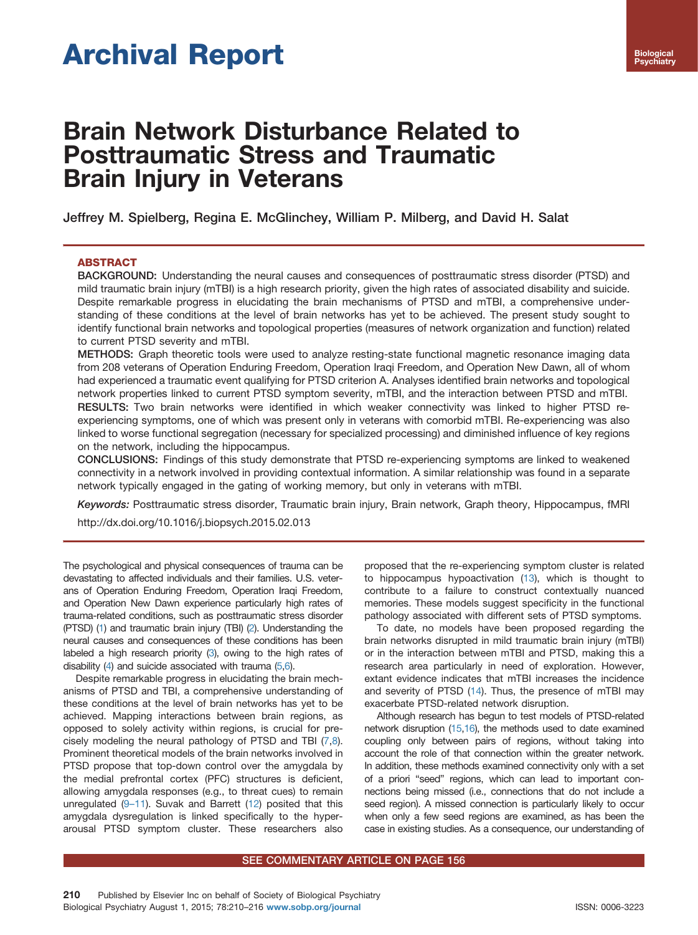# Archival Report

# Brain Network Disturbance Related to Posttraumatic Stress and Traumatic Brain Injury in Veterans

Jeffrey M. Spielberg, Regina E. McGlinchey, William P. Milberg, and David H. Salat

# ABSTRACT

BACKGROUND: Understanding the neural causes and consequences of posttraumatic stress disorder (PTSD) and mild traumatic brain injury (mTBI) is a high research priority, given the high rates of associated disability and suicide. Despite remarkable progress in elucidating the brain mechanisms of PTSD and mTBI, a comprehensive understanding of these conditions at the level of brain networks has yet to be achieved. The present study sought to identify functional brain networks and topological properties (measures of network organization and function) related to current PTSD severity and mTBI.

METHODS: Graph theoretic tools were used to analyze resting-state functional magnetic resonance imaging data from 208 veterans of Operation Enduring Freedom, Operation Iraqi Freedom, and Operation New Dawn, all of whom had experienced a traumatic event qualifying for PTSD criterion A. Analyses identified brain networks and topological network properties linked to current PTSD symptom severity, mTBI, and the interaction between PTSD and mTBI. RESULTS: Two brain networks were identified in which weaker connectivity was linked to higher PTSD reexperiencing symptoms, one of which was present only in veterans with comorbid mTBI. Re-experiencing was also linked to worse functional segregation (necessary for specialized processing) and diminished influence of key regions on the network, including the hippocampus.

CONCLUSIONS: Findings of this study demonstrate that PTSD re-experiencing symptoms are linked to weakened connectivity in a network involved in providing contextual information. A similar relationship was found in a separate network typically engaged in the gating of working memory, but only in veterans with mTBI.

Keywords: Posttraumatic stress disorder, Traumatic brain injury, Brain network, Graph theory, Hippocampus, fMRI [http://dx.doi.org/10.1016/j.biopsych.2015.02.013](dx.doi.org/10.1016/j.biopsych.2015.02.013)

The psychological and physical consequences of trauma can be devastating to affected individuals and their families. U.S. veterans of Operation Enduring Freedom, Operation Iraqi Freedom, and Operation New Dawn experience particularly high rates of trauma-related conditions, such as posttraumatic stress disorder (PTSD) ([1](#page-6-0)) and traumatic brain injury (TBI) ([2](#page-6-0)). Understanding the neural causes and consequences of these conditions has been labeled a high research priority [\(3\)](#page-6-0), owing to the high rates of disability ([4](#page-6-0)) and suicide associated with trauma [\(5,6](#page-6-0)).

Despite remarkable progress in elucidating the brain mechanisms of PTSD and TBI, a comprehensive understanding of these conditions at the level of brain networks has yet to be achieved. Mapping interactions between brain regions, as opposed to solely activity within regions, is crucial for precisely modeling the neural pathology of PTSD and TBI [\(7,8](#page-6-0)). Prominent theoretical models of the brain networks involved in PTSD propose that top-down control over the amygdala by the medial prefrontal cortex (PFC) structures is deficient, allowing amygdala responses (e.g., to threat cues) to remain unregulated (9-[11](#page-6-0)). Suvak and Barrett ([12](#page-6-0)) posited that this amygdala dysregulation is linked specifically to the hyperarousal PTSD symptom cluster. These researchers also

proposed that the re-experiencing symptom cluster is related to hippocampus hypoactivation ([13](#page-6-0)), which is thought to contribute to a failure to construct contextually nuanced memories. These models suggest specificity in the functional pathology associated with different sets of PTSD symptoms.

To date, no models have been proposed regarding the brain networks disrupted in mild traumatic brain injury (mTBI) or in the interaction between mTBI and PTSD, making this a research area particularly in need of exploration. However, extant evidence indicates that mTBI increases the incidence and severity of PTSD [\(14\)](#page-6-0). Thus, the presence of mTBI may exacerbate PTSD-related network disruption.

Although research has begun to test models of PTSD-related network disruption [\(15,16](#page-6-0)), the methods used to date examined coupling only between pairs of regions, without taking into account the role of that connection within the greater network. In addition, these methods examined connectivity only with a set of a priori "seed" regions, which can lead to important connections being missed (i.e., connections that do not include a seed region). A missed connection is particularly likely to occur when only a few seed regions are examined, as has been the case in existing studies. As a consequence, our understanding of

# SEE COMMENTARY ARTICLE ON PAGE 156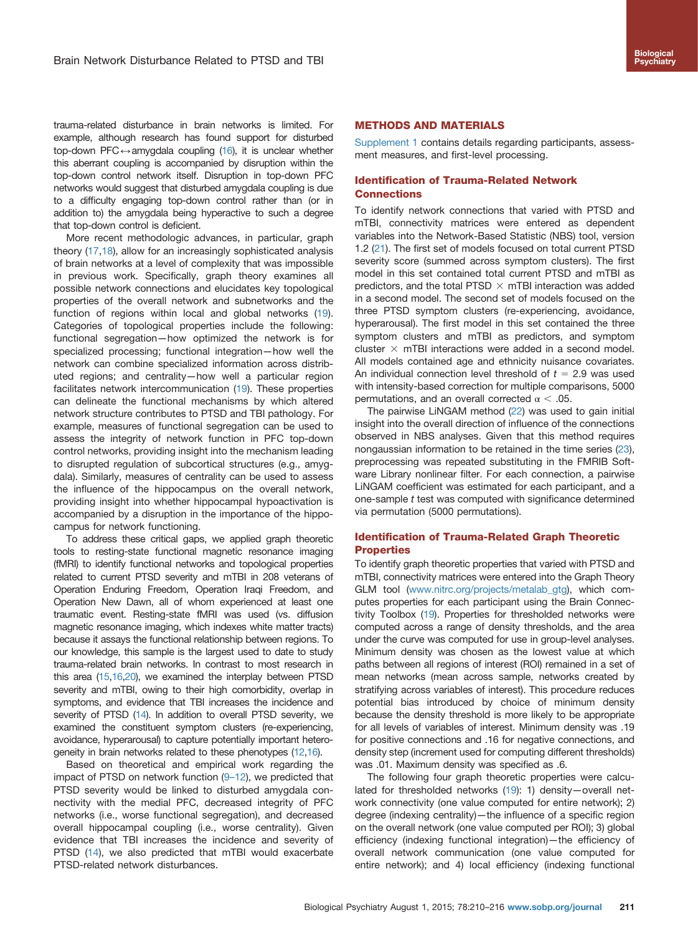trauma-related disturbance in brain networks is limited. For example, although research has found support for disturbed top-down PFC $\leftrightarrow$  amygdala coupling [\(16\)](#page-6-0), it is unclear whether this aberrant coupling is accompanied by disruption within the top-down control network itself. Disruption in top-down PFC networks would suggest that disturbed amygdala coupling is due to a difficulty engaging top-down control rather than (or in addition to) the amygdala being hyperactive to such a degree

that top-down control is deficient. More recent methodologic advances, in particular, graph theory ([17,18\)](#page-6-0), allow for an increasingly sophisticated analysis of brain networks at a level of complexity that was impossible in previous work. Specifically, graph theory examines all possible network connections and elucidates key topological properties of the overall network and subnetworks and the function of regions within local and global networks ([19](#page-6-0)). Categories of topological properties include the following: functional segregation—how optimized the network is for specialized processing; functional integration—how well the network can combine specialized information across distributed regions; and centrality—how well a particular region facilitates network intercommunication ([19](#page-6-0)). These properties can delineate the functional mechanisms by which altered network structure contributes to PTSD and TBI pathology. For example, measures of functional segregation can be used to assess the integrity of network function in PFC top-down control networks, providing insight into the mechanism leading to disrupted regulation of subcortical structures (e.g., amygdala). Similarly, measures of centrality can be used to assess the influence of the hippocampus on the overall network, providing insight into whether hippocampal hypoactivation is accompanied by a disruption in the importance of the hippocampus for network functioning.

To address these critical gaps, we applied graph theoretic tools to resting-state functional magnetic resonance imaging (fMRI) to identify functional networks and topological properties related to current PTSD severity and mTBI in 208 veterans of Operation Enduring Freedom, Operation Iraqi Freedom, and Operation New Dawn, all of whom experienced at least one traumatic event. Resting-state fMRI was used (vs. diffusion magnetic resonance imaging, which indexes white matter tracts) because it assays the functional relationship between regions. To our knowledge, this sample is the largest used to date to study trauma-related brain networks. In contrast to most research in this area ([15,16,20\)](#page-6-0), we examined the interplay between PTSD severity and mTBI, owing to their high comorbidity, overlap in symptoms, and evidence that TBI increases the incidence and severity of PTSD ([14\)](#page-6-0). In addition to overall PTSD severity, we examined the constituent symptom clusters (re-experiencing, avoidance, hyperarousal) to capture potentially important heterogeneity in brain networks related to these phenotypes [\(12,16](#page-6-0)).

Based on theoretical and empirical work regarding the impact of PTSD on network function (9–[12](#page-6-0)), we predicted that PTSD severity would be linked to disturbed amygdala connectivity with the medial PFC, decreased integrity of PFC networks (i.e., worse functional segregation), and decreased overall hippocampal coupling (i.e., worse centrality). Given evidence that TBI increases the incidence and severity of PTSD [\(14\)](#page-6-0), we also predicted that mTBI would exacerbate PTSD-related network disturbances.

# METHODS AND MATERIALS

[Supplement 1](#page-6-0) contains details regarding participants, assessment measures, and first-level processing.

# Identification of Trauma-Related Network **Connections**

To identify network connections that varied with PTSD and mTBI, connectivity matrices were entered as dependent variables into the Network-Based Statistic (NBS) tool, version 1.2 ([21](#page-6-0)). The first set of models focused on total current PTSD severity score (summed across symptom clusters). The first model in this set contained total current PTSD and mTBI as predictors, and the total PTSD  $\times$  mTBI interaction was added in a second model. The second set of models focused on the three PTSD symptom clusters (re-experiencing, avoidance, hyperarousal). The first model in this set contained the three symptom clusters and mTBI as predictors, and symptom cluster  $\times$  mTBI interactions were added in a second model. All models contained age and ethnicity nuisance covariates. An individual connection level threshold of  $t = 2.9$  was used with intensity-based correction for multiple comparisons, 5000 permutations, and an overall corrected  $\alpha$  < .05.

The pairwise LiNGAM method ([22\)](#page-6-0) was used to gain initial insight into the overall direction of influence of the connections observed in NBS analyses. Given that this method requires nongaussian information to be retained in the time series [\(23\)](#page-6-0), preprocessing was repeated substituting in the FMRIB Software Library nonlinear filter. For each connection, a pairwise LiNGAM coefficient was estimated for each participant, and a one-sample t test was computed with significance determined via permutation (5000 permutations).

# Identification of Trauma-Related Graph Theoretic **Properties**

To identify graph theoretic properties that varied with PTSD and mTBI, connectivity matrices were entered into the Graph Theory GLM tool ([www.nitrc.org/projects/metalab\\_gtg](www.nitrc.org/projects/metalab_gtg)), which computes properties for each participant using the Brain Connectivity Toolbox ([19](#page-6-0)). Properties for thresholded networks were computed across a range of density thresholds, and the area under the curve was computed for use in group-level analyses. Minimum density was chosen as the lowest value at which paths between all regions of interest (ROI) remained in a set of mean networks (mean across sample, networks created by stratifying across variables of interest). This procedure reduces potential bias introduced by choice of minimum density because the density threshold is more likely to be appropriate for all levels of variables of interest. Minimum density was .19 for positive connections and .16 for negative connections, and density step (increment used for computing different thresholds) was .01. Maximum density was specified as .6.

The following four graph theoretic properties were calculated for thresholded networks ([19](#page-6-0)): 1) density—overall network connectivity (one value computed for entire network); 2) degree (indexing centrality)—the influence of a specific region on the overall network (one value computed per ROI); 3) global efficiency (indexing functional integration)—the efficiency of overall network communication (one value computed for entire network); and 4) local efficiency (indexing functional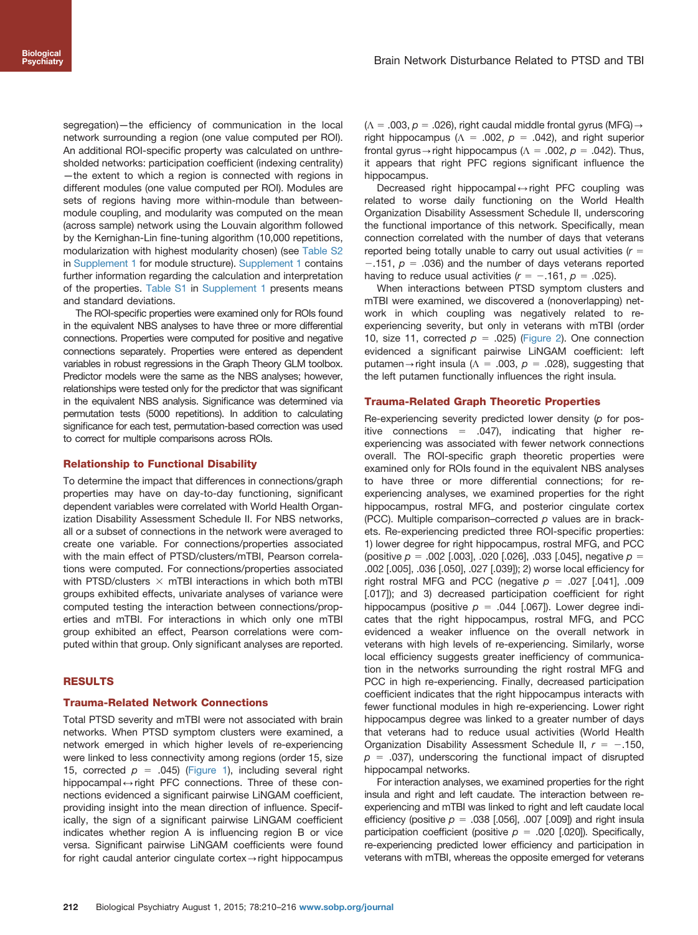segregation)—the efficiency of communication in the local network surrounding a region (one value computed per ROI). An additional ROI-specific property was calculated on unthresholded networks: participation coefficient (indexing centrality) —the extent to which a region is connected with regions in different modules (one value computed per ROI). Modules are sets of regions having more within-module than betweenmodule coupling, and modularity was computed on the mean (across sample) network using the Louvain algorithm followed by the Kernighan-Lin fine-tuning algorithm (10,000 repetitions, modularization with highest modularity chosen) (see [Table S2](#page-6-0) in [Supplement 1](#page-6-0) for module structure). [Supplement 1](#page-6-0) contains further information regarding the calculation and interpretation of the properties. [Table S1](#page-6-0) in [Supplement 1](#page-6-0) presents means and standard deviations.

The ROI-specific properties were examined only for ROIs found in the equivalent NBS analyses to have three or more differential connections. Properties were computed for positive and negative connections separately. Properties were entered as dependent variables in robust regressions in the Graph Theory GLM toolbox. Predictor models were the same as the NBS analyses; however, relationships were tested only for the predictor that was significant in the equivalent NBS analysis. Significance was determined via permutation tests (5000 repetitions). In addition to calculating significance for each test, permutation-based correction was used to correct for multiple comparisons across ROIs.

#### Relationship to Functional Disability

To determine the impact that differences in connections/graph properties may have on day-to-day functioning, significant dependent variables were correlated with World Health Organization Disability Assessment Schedule II. For NBS networks, all or a subset of connections in the network were averaged to create one variable. For connections/properties associated with the main effect of PTSD/clusters/mTBI, Pearson correlations were computed. For connections/properties associated with PTSD/clusters  $\times$  mTBI interactions in which both mTBI groups exhibited effects, univariate analyses of variance were computed testing the interaction between connections/properties and mTBI. For interactions in which only one mTBI group exhibited an effect, Pearson correlations were computed within that group. Only significant analyses are reported.

#### RESULTS

# Trauma-Related Network Connections

Total PTSD severity and mTBI were not associated with brain networks. When PTSD symptom clusters were examined, a network emerged in which higher levels of re-experiencing were linked to less connectivity among regions (order 15, size 15, corrected  $p = .045$ ) ([Figure 1\)](#page-3-0), including several right hippocampal $\leftrightarrow$ right PFC connections. Three of these connections evidenced a significant pairwise LiNGAM coefficient, providing insight into the mean direction of influence. Specifically, the sign of a significant pairwise LiNGAM coefficient indicates whether region A is influencing region B or vice versa. Significant pairwise LiNGAM coefficients were found for right caudal anterior cingulate cortex $\rightarrow$ right hippocampus

( $\Lambda = .003$ ,  $p = .026$ ), right caudal middle frontal gyrus (MFG) $\rightarrow$ right hippocampus ( $\Lambda = .002$ ,  $p = .042$ ), and right superior frontal gyrus  $\rightarrow$  right hippocampus ( $\Lambda = .002$ ,  $p = .042$ ). Thus, it appears that right PFC regions significant influence the hippocampus.

Decreased right hippocampal $\leftrightarrow$ right PFC coupling was related to worse daily functioning on the World Health Organization Disability Assessment Schedule II, underscoring the functional importance of this network. Specifically, mean connection correlated with the number of days that veterans reported being totally unable to carry out usual activities  $(r =$  $-.151$ ,  $p = .036$ ) and the number of days veterans reported having to reduce usual activities ( $r = -.161$ ,  $p = .025$ ).

When interactions between PTSD symptom clusters and mTBI were examined, we discovered a (nonoverlapping) network in which coupling was negatively related to reexperiencing severity, but only in veterans with mTBI (order 10, size 11, corrected  $p = .025$ ) ([Figure 2\)](#page-4-0). One connection evidenced a significant pairwise LiNGAM coefficient: left putamen $\rightarrow$  right insula ( $\Lambda = .003$ ,  $p = .028$ ), suggesting that the left putamen functionally influences the right insula.

#### Trauma-Related Graph Theoretic Properties

Re-experiencing severity predicted lower density (p for positive connections =  $.047$ ), indicating that higher reexperiencing was associated with fewer network connections overall. The ROI-specific graph theoretic properties were examined only for ROIs found in the equivalent NBS analyses to have three or more differential connections; for reexperiencing analyses, we examined properties for the right hippocampus, rostral MFG, and posterior cingulate cortex (PCC). Multiple comparison–corrected  $p$  values are in brackets. Re-experiencing predicted three ROI-specific properties: 1) lower degree for right hippocampus, rostral MFG, and PCC (positive  $p = .002$  [.003], .020 [.026], .033 [.045], negative  $p =$ .002 [.005], .036 [.050], .027 [.039]); 2) worse local efficiency for right rostral MFG and PCC (negative  $p = .027$  [.041], .009 [.017]); and 3) decreased participation coefficient for right hippocampus (positive  $p = .044$  [.067]). Lower degree indicates that the right hippocampus, rostral MFG, and PCC evidenced a weaker influence on the overall network in veterans with high levels of re-experiencing. Similarly, worse local efficiency suggests greater inefficiency of communication in the networks surrounding the right rostral MFG and PCC in high re-experiencing. Finally, decreased participation coefficient indicates that the right hippocampus interacts with fewer functional modules in high re-experiencing. Lower right hippocampus degree was linked to a greater number of days that veterans had to reduce usual activities (World Health Organization Disability Assessment Schedule II,  $r = -150$ ,  $p = .037$ ), underscoring the functional impact of disrupted hippocampal networks.

For interaction analyses, we examined properties for the right insula and right and left caudate. The interaction between reexperiencing and mTBI was linked to right and left caudate local efficiency (positive  $p = .038$  [.056], .007 [.009]) and right insula participation coefficient (positive  $p = .020$  [.020]). Specifically, re-experiencing predicted lower efficiency and participation in veterans with mTBI, whereas the opposite emerged for veterans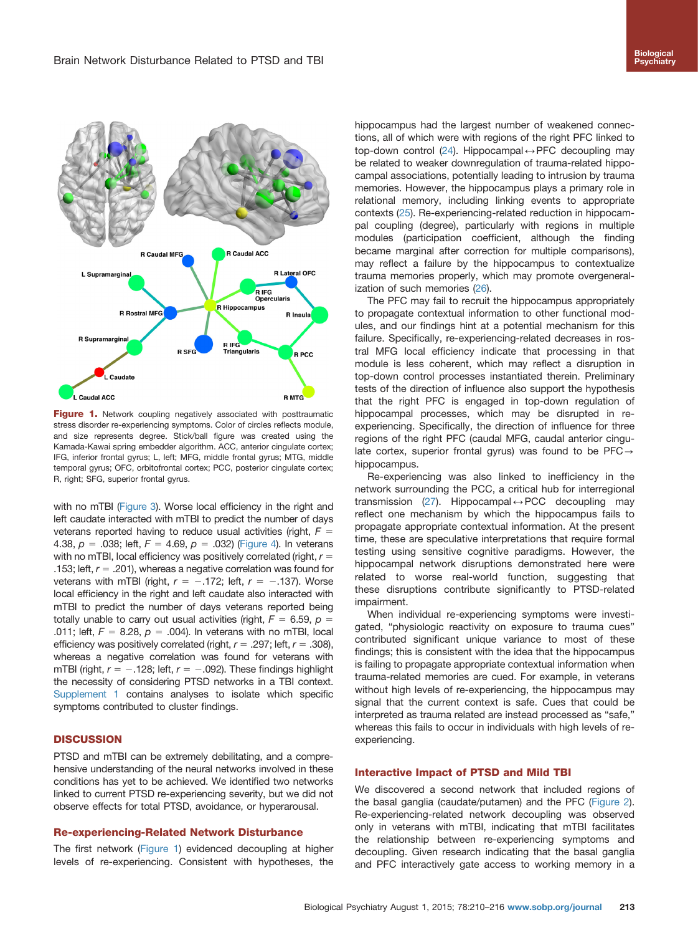<span id="page-3-0"></span>

Figure 1. Network coupling negatively associated with posttraumatic stress disorder re-experiencing symptoms. Color of circles reflects module, and size represents degree. Stick/ball figure was created using the Kamada-Kawai spring embedder algorithm. ACC, anterior cingulate cortex; IFG, inferior frontal gyrus; L, left; MFG, middle frontal gyrus; MTG, middle temporal gyrus; OFC, orbitofrontal cortex; PCC, posterior cingulate cortex; R, right; SFG, superior frontal gyrus.

with no mTBI [\(Figure 3\)](#page-4-0). Worse local efficiency in the right and left caudate interacted with mTBI to predict the number of days veterans reported having to reduce usual activities (right,  $F =$ 4.38,  $p = .038$ ; left,  $F = 4.69$ ,  $p = .032$ ) [\(Figure 4](#page-5-0)). In veterans with no mTBI, local efficiency was positively correlated (right,  $r =$ .153; left,  $r = .201$ ), whereas a negative correlation was found for veterans with mTBI (right,  $r = -.172$ ; left,  $r = -.137$ ). Worse local efficiency in the right and left caudate also interacted with mTBI to predict the number of days veterans reported being totally unable to carry out usual activities (right,  $F = 6.59$ ,  $p =$ .011; left,  $F = 8.28$ ,  $p = .004$ ). In veterans with no mTBI, local efficiency was positively correlated (right,  $r = .297$ ; left,  $r = .308$ ), whereas a negative correlation was found for veterans with mTBI (right,  $r = -.128$ ; left,  $r = -.092$ ). These findings highlight the necessity of considering PTSD networks in a TBI context. [Supplement 1](#page-6-0) contains analyses to isolate which specific symptoms contributed to cluster findings.

# **DISCUSSION**

PTSD and mTBI can be extremely debilitating, and a comprehensive understanding of the neural networks involved in these conditions has yet to be achieved. We identified two networks linked to current PTSD re-experiencing severity, but we did not observe effects for total PTSD, avoidance, or hyperarousal.

# Re-experiencing-Related Network Disturbance

The first network (Figure 1) evidenced decoupling at higher levels of re-experiencing. Consistent with hypotheses, the hippocampus had the largest number of weakened connections, all of which were with regions of the right PFC linked to top-down control ([24\)](#page-6-0). Hippocampal $\leftrightarrow$ PFC decoupling may be related to weaker downregulation of trauma-related hippocampal associations, potentially leading to intrusion by trauma memories. However, the hippocampus plays a primary role in relational memory, including linking events to appropriate contexts ([25](#page-6-0)). Re-experiencing-related reduction in hippocampal coupling (degree), particularly with regions in multiple modules (participation coefficient, although the finding became marginal after correction for multiple comparisons), may reflect a failure by the hippocampus to contextualize trauma memories properly, which may promote overgeneralization of such memories ([26](#page-6-0)).

The PFC may fail to recruit the hippocampus appropriately to propagate contextual information to other functional modules, and our findings hint at a potential mechanism for this failure. Specifically, re-experiencing-related decreases in rostral MFG local efficiency indicate that processing in that module is less coherent, which may reflect a disruption in top-down control processes instantiated therein. Preliminary tests of the direction of influence also support the hypothesis that the right PFC is engaged in top-down regulation of hippocampal processes, which may be disrupted in reexperiencing. Specifically, the direction of influence for three regions of the right PFC (caudal MFG, caudal anterior cingulate cortex, superior frontal gyrus) was found to be  $PFC \rightarrow$ hippocampus.

Re-experiencing was also linked to inefficiency in the network surrounding the PCC, a critical hub for interregional transmission [\(27](#page-6-0)). Hippocampal  $\leftrightarrow$  PCC decoupling may reflect one mechanism by which the hippocampus fails to propagate appropriate contextual information. At the present time, these are speculative interpretations that require formal testing using sensitive cognitive paradigms. However, the hippocampal network disruptions demonstrated here were related to worse real-world function, suggesting that these disruptions contribute significantly to PTSD-related impairment.

When individual re-experiencing symptoms were investigated, "physiologic reactivity on exposure to trauma cues" contributed significant unique variance to most of these findings; this is consistent with the idea that the hippocampus is failing to propagate appropriate contextual information when trauma-related memories are cued. For example, in veterans without high levels of re-experiencing, the hippocampus may signal that the current context is safe. Cues that could be interpreted as trauma related are instead processed as "safe," whereas this fails to occur in individuals with high levels of reexperiencing.

# Interactive Impact of PTSD and Mild TBI

We discovered a second network that included regions of the basal ganglia (caudate/putamen) and the PFC ([Figure 2\)](#page-4-0). Re-experiencing-related network decoupling was observed only in veterans with mTBI, indicating that mTBI facilitates the relationship between re-experiencing symptoms and decoupling. Given research indicating that the basal ganglia and PFC interactively gate access to working memory in a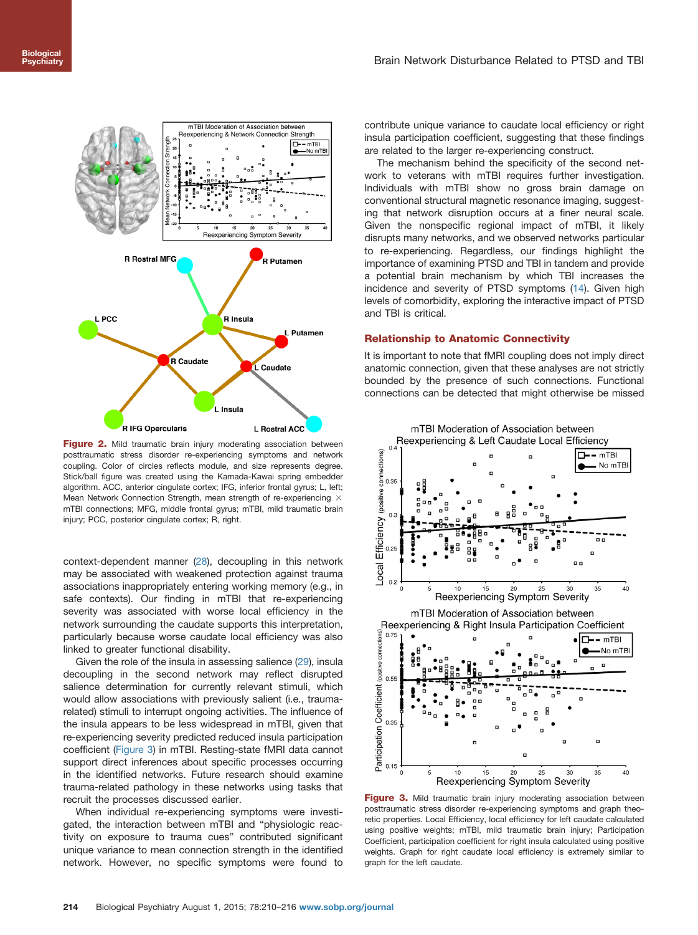<span id="page-4-0"></span>

Figure 2. Mild traumatic brain injury moderating association between posttraumatic stress disorder re-experiencing symptoms and network coupling. Color of circles reflects module, and size represents degree. Stick/ball figure was created using the Kamada-Kawai spring embedder algorithm. ACC, anterior cingulate cortex; IFG, inferior frontal gyrus; L, left; Mean Network Connection Strength, mean strength of re-experiencing  $\times$ mTBI connections; MFG, middle frontal gyrus; mTBI, mild traumatic brain injury; PCC, posterior cingulate cortex; R, right.

context-dependent manner [\(28\)](#page-6-0), decoupling in this network may be associated with weakened protection against trauma associations inappropriately entering working memory (e.g., in safe contexts). Our finding in mTBI that re-experiencing severity was associated with worse local efficiency in the network surrounding the caudate supports this interpretation, particularly because worse caudate local efficiency was also linked to greater functional disability.

Given the role of the insula in assessing salience ([29\)](#page-6-0), insula decoupling in the second network may reflect disrupted salience determination for currently relevant stimuli, which would allow associations with previously salient (i.e., traumarelated) stimuli to interrupt ongoing activities. The influence of the insula appears to be less widespread in mTBI, given that re-experiencing severity predicted reduced insula participation coefficient (Figure 3) in mTBI. Resting-state fMRI data cannot support direct inferences about specific processes occurring in the identified networks. Future research should examine trauma-related pathology in these networks using tasks that recruit the processes discussed earlier.

When individual re-experiencing symptoms were investigated, the interaction between mTBI and "physiologic reactivity on exposure to trauma cues" contributed significant unique variance to mean connection strength in the identified network. However, no specific symptoms were found to contribute unique variance to caudate local efficiency or right insula participation coefficient, suggesting that these findings are related to the larger re-experiencing construct.

The mechanism behind the specificity of the second network to veterans with mTBI requires further investigation. Individuals with mTBI show no gross brain damage on conventional structural magnetic resonance imaging, suggesting that network disruption occurs at a finer neural scale. Given the nonspecific regional impact of mTBI, it likely disrupts many networks, and we observed networks particular to re-experiencing. Regardless, our findings highlight the importance of examining PTSD and TBI in tandem and provide a potential brain mechanism by which TBI increases the incidence and severity of PTSD symptoms [\(14\)](#page-6-0). Given high levels of comorbidity, exploring the interactive impact of PTSD and TBI is critical.

### Relationship to Anatomic Connectivity

It is important to note that fMRI coupling does not imply direct anatomic connection, given that these analyses are not strictly bounded by the presence of such connections. Functional connections can be detected that might otherwise be missed

mTBI Moderation of Association between



Figure 3. Mild traumatic brain injury moderating association between posttraumatic stress disorder re-experiencing symptoms and graph theoretic properties. Local Efficiency, local efficiency for left caudate calculated using positive weights; mTBI, mild traumatic brain injury; Participation Coefficient, participation coefficient for right insula calculated using positive weights. Graph for right caudate local efficiency is extremely similar to graph for the left caudate.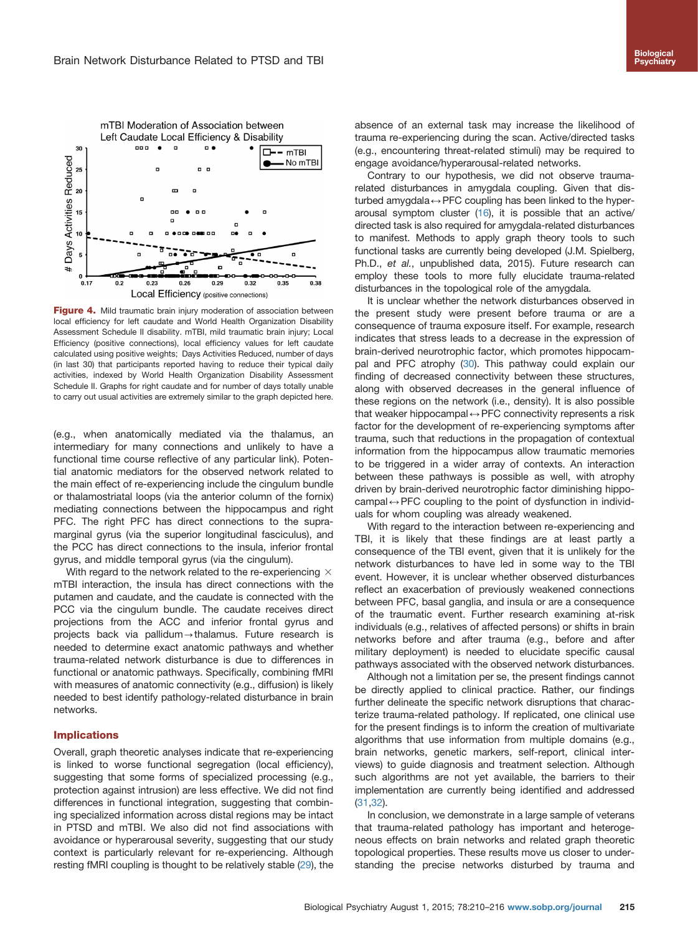<span id="page-5-0"></span>

Figure 4. Mild traumatic brain injury moderation of association between local efficiency for left caudate and World Health Organization Disability Assessment Schedule II disability. mTBI, mild traumatic brain injury; Local Efficiency (positive connections), local efficiency values for left caudate calculated using positive weights; Days Activities Reduced, number of days (in last 30) that participants reported having to reduce their typical daily activities, indexed by World Health Organization Disability Assessment Schedule II. Graphs for right caudate and for number of days totally unable to carry out usual activities are extremely similar to the graph depicted here.

(e.g., when anatomically mediated via the thalamus, an intermediary for many connections and unlikely to have a functional time course reflective of any particular link). Potential anatomic mediators for the observed network related to the main effect of re-experiencing include the cingulum bundle or thalamostriatal loops (via the anterior column of the fornix) mediating connections between the hippocampus and right PFC. The right PFC has direct connections to the supramarginal gyrus (via the superior longitudinal fasciculus), and the PCC has direct connections to the insula, inferior frontal gyrus, and middle temporal gyrus (via the cingulum).

With regard to the network related to the re-experiencing  $\times$ mTBI interaction, the insula has direct connections with the putamen and caudate, and the caudate is connected with the PCC via the cingulum bundle. The caudate receives direct projections from the ACC and inferior frontal gyrus and projects back via pallidum $\rightarrow$ thalamus. Future research is needed to determine exact anatomic pathways and whether trauma-related network disturbance is due to differences in functional or anatomic pathways. Specifically, combining fMRI with measures of anatomic connectivity (e.g., diffusion) is likely needed to best identify pathology-related disturbance in brain networks.

#### Implications

Overall, graph theoretic analyses indicate that re-experiencing is linked to worse functional segregation (local efficiency), suggesting that some forms of specialized processing (e.g., protection against intrusion) are less effective. We did not find differences in functional integration, suggesting that combining specialized information across distal regions may be intact in PTSD and mTBI. We also did not find associations with avoidance or hyperarousal severity, suggesting that our study context is particularly relevant for re-experiencing. Although resting fMRI coupling is thought to be relatively stable ([29\)](#page-6-0), the

Contrary to our hypothesis, we did not observe traumarelated disturbances in amygdala coupling. Given that disturbed amygdala $\leftrightarrow$  PFC coupling has been linked to the hyperarousal symptom cluster [\(16\)](#page-6-0), it is possible that an active/ directed task is also required for amygdala-related disturbances to manifest. Methods to apply graph theory tools to such functional tasks are currently being developed (J.M. Spielberg, Ph.D., et al., unpublished data, 2015). Future research can employ these tools to more fully elucidate trauma-related disturbances in the topological role of the amygdala.

It is unclear whether the network disturbances observed in the present study were present before trauma or are a consequence of trauma exposure itself. For example, research indicates that stress leads to a decrease in the expression of brain-derived neurotrophic factor, which promotes hippocampal and PFC atrophy [\(30\)](#page-6-0). This pathway could explain our finding of decreased connectivity between these structures, along with observed decreases in the general influence of these regions on the network (i.e., density). It is also possible that weaker hippocampal $\leftrightarrow$  PFC connectivity represents a risk factor for the development of re-experiencing symptoms after trauma, such that reductions in the propagation of contextual information from the hippocampus allow traumatic memories to be triggered in a wider array of contexts. An interaction between these pathways is possible as well, with atrophy driven by brain-derived neurotrophic factor diminishing hippocampal $\leftrightarrow$  PFC coupling to the point of dysfunction in individuals for whom coupling was already weakened.

With regard to the interaction between re-experiencing and TBI, it is likely that these findings are at least partly a consequence of the TBI event, given that it is unlikely for the network disturbances to have led in some way to the TBI event. However, it is unclear whether observed disturbances reflect an exacerbation of previously weakened connections between PFC, basal ganglia, and insula or are a consequence of the traumatic event. Further research examining at-risk individuals (e.g., relatives of affected persons) or shifts in brain networks before and after trauma (e.g., before and after military deployment) is needed to elucidate specific causal pathways associated with the observed network disturbances.

Although not a limitation per se, the present findings cannot be directly applied to clinical practice. Rather, our findings further delineate the specific network disruptions that characterize trauma-related pathology. If replicated, one clinical use for the present findings is to inform the creation of multivariate algorithms that use information from multiple domains (e.g., brain networks, genetic markers, self-report, clinical interviews) to guide diagnosis and treatment selection. Although such algorithms are not yet available, the barriers to their implementation are currently being identified and addressed ([31,32\)](#page-6-0).

In conclusion, we demonstrate in a large sample of veterans that trauma-related pathology has important and heterogeneous effects on brain networks and related graph theoretic topological properties. These results move us closer to understanding the precise networks disturbed by trauma and